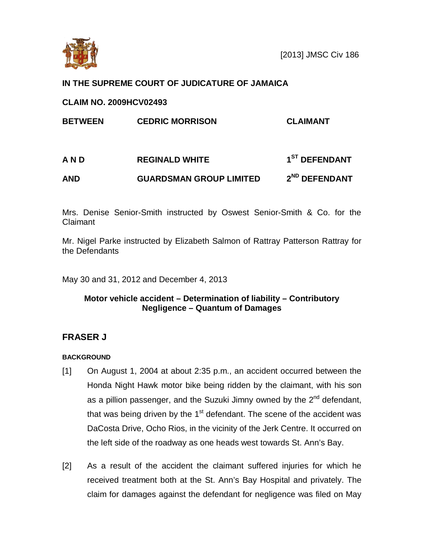

# **IN THE SUPREME COURT OF JUDICATURE OF JAMAICA**

# **CLAIM NO. 2009HCV02493**

| <b>BETWEEN</b> | <b>CEDRIC MORRISON</b>         | <b>CLAIMANT</b>           |
|----------------|--------------------------------|---------------------------|
| A N D          | <b>REGINALD WHITE</b>          | 1 <sup>ST</sup> DEFENDANT |
| AND            | <b>GUARDSMAN GROUP LIMITED</b> | 2 <sup>ND</sup> DEFENDANT |

Mrs. Denise Senior-Smith instructed by Oswest Senior-Smith & Co. for the Claimant

Mr. Nigel Parke instructed by Elizabeth Salmon of Rattray Patterson Rattray for the Defendants

May 30 and 31, 2012 and December 4, 2013

# **Motor vehicle accident – Determination of liability – Contributory Negligence – Quantum of Damages**

# **FRASER J**

## **BACKGROUND**

- [1] On August 1, 2004 at about 2:35 p.m., an accident occurred between the Honda Night Hawk motor bike being ridden by the claimant, with his son as a pillion passenger, and the Suzuki Jimny owned by the 2<sup>nd</sup> defendant, that was being driven by the  $1<sup>st</sup>$  defendant. The scene of the accident was DaCosta Drive, Ocho Rios, in the vicinity of the Jerk Centre. It occurred on the left side of the roadway as one heads west towards St. Ann's Bay.
- [2] As a result of the accident the claimant suffered injuries for which he received treatment both at the St. Ann's Bay Hospital and privately. The claim for damages against the defendant for negligence was filed on May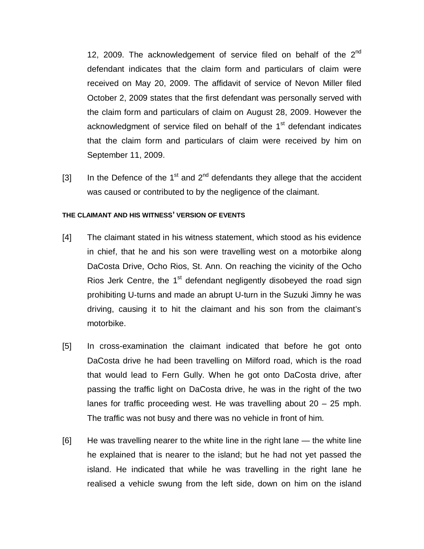12, 2009. The acknowledgement of service filed on behalf of the  $2<sup>nd</sup>$ defendant indicates that the claim form and particulars of claim were received on May 20, 2009. The affidavit of service of Nevon Miller filed October 2, 2009 states that the first defendant was personally served with the claim form and particulars of claim on August 28, 2009. However the acknowledgment of service filed on behalf of the 1<sup>st</sup> defendant indicates that the claim form and particulars of claim were received by him on September 11, 2009.

[3] In the Defence of the 1<sup>st</sup> and 2<sup>nd</sup> defendants they allege that the accident was caused or contributed to by the negligence of the claimant.

#### **THE CLAIMANT AND HIS WITNESS' VERSION OF EVENTS**

- [4] The claimant stated in his witness statement, which stood as his evidence in chief, that he and his son were travelling west on a motorbike along DaCosta Drive, Ocho Rios, St. Ann. On reaching the vicinity of the Ocho Rios Jerk Centre, the  $1<sup>st</sup>$  defendant negligently disobeyed the road sign prohibiting U-turns and made an abrupt U-turn in the Suzuki Jimny he was driving, causing it to hit the claimant and his son from the claimant's motorbike.
- [5] In cross-examination the claimant indicated that before he got onto DaCosta drive he had been travelling on Milford road, which is the road that would lead to Fern Gully. When he got onto DaCosta drive, after passing the traffic light on DaCosta drive, he was in the right of the two lanes for traffic proceeding west. He was travelling about 20 – 25 mph. The traffic was not busy and there was no vehicle in front of him.
- [6] He was travelling nearer to the white line in the right lane the white line he explained that is nearer to the island; but he had not yet passed the island. He indicated that while he was travelling in the right lane he realised a vehicle swung from the left side, down on him on the island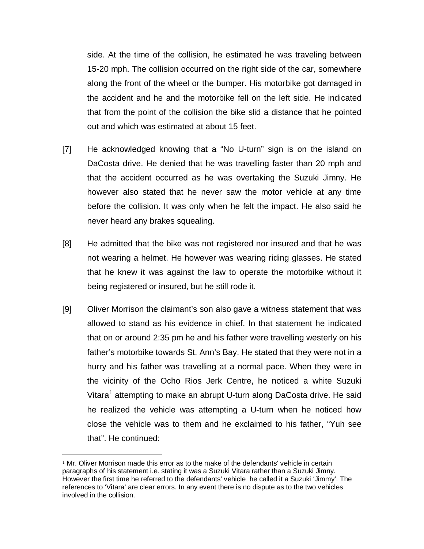side. At the time of the collision, he estimated he was traveling between 15-20 mph. The collision occurred on the right side of the car, somewhere along the front of the wheel or the bumper. His motorbike got damaged in the accident and he and the motorbike fell on the left side. He indicated that from the point of the collision the bike slid a distance that he pointed out and which was estimated at about 15 feet.

- [7] He acknowledged knowing that a "No U-turn" sign is on the island on DaCosta drive. He denied that he was travelling faster than 20 mph and that the accident occurred as he was overtaking the Suzuki Jimny. He however also stated that he never saw the motor vehicle at any time before the collision. It was only when he felt the impact. He also said he never heard any brakes squealing.
- [8] He admitted that the bike was not registered nor insured and that he was not wearing a helmet. He however was wearing riding glasses. He stated that he knew it was against the law to operate the motorbike without it being registered or insured, but he still rode it.
- [9] Oliver Morrison the claimant's son also gave a witness statement that was allowed to stand as his evidence in chief. In that statement he indicated that on or around 2:35 pm he and his father were travelling westerly on his father's motorbike towards St. Ann's Bay. He stated that they were not in a hurry and his father was travelling at a normal pace. When they were in the vicinity of the Ocho Rios Jerk Centre, he noticed a white Suzuki Vitara<sup>[1](#page-2-0)</sup> attempting to make an abrupt U-turn along DaCosta drive. He said he realized the vehicle was attempting a U-turn when he noticed how close the vehicle was to them and he exclaimed to his father, "Yuh see that". He continued:

 $\overline{a}$ 

<span id="page-2-0"></span> $1$  Mr. Oliver Morrison made this error as to the make of the defendants' vehicle in certain paragraphs of his statement i.e. stating it was a Suzuki Vitara rather than a Suzuki Jimny. However the first time he referred to the defendants' vehicle he called it a Suzuki 'Jimmy'. The references to 'Vitara' are clear errors. In any event there is no dispute as to the two vehicles involved in the collision.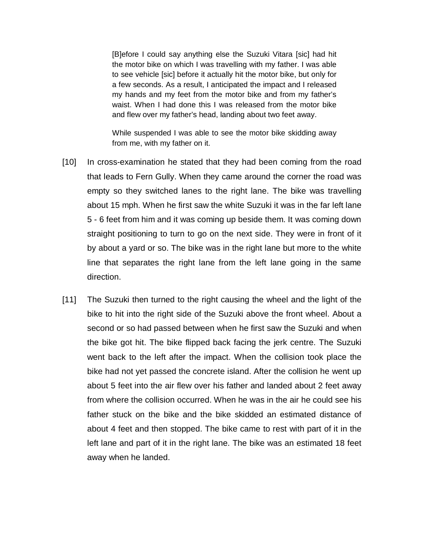[B]efore I could say anything else the Suzuki Vitara [sic] had hit the motor bike on which I was travelling with my father. I was able to see vehicle [sic] before it actually hit the motor bike, but only for a few seconds. As a result, I anticipated the impact and I released my hands and my feet from the motor bike and from my father's waist. When I had done this I was released from the motor bike and flew over my father's head, landing about two feet away.

While suspended I was able to see the motor bike skidding away from me, with my father on it.

- [10] In cross-examination he stated that they had been coming from the road that leads to Fern Gully. When they came around the corner the road was empty so they switched lanes to the right lane. The bike was travelling about 15 mph. When he first saw the white Suzuki it was in the far left lane 5 - 6 feet from him and it was coming up beside them. It was coming down straight positioning to turn to go on the next side. They were in front of it by about a yard or so. The bike was in the right lane but more to the white line that separates the right lane from the left lane going in the same direction.
- [11] The Suzuki then turned to the right causing the wheel and the light of the bike to hit into the right side of the Suzuki above the front wheel. About a second or so had passed between when he first saw the Suzuki and when the bike got hit. The bike flipped back facing the jerk centre. The Suzuki went back to the left after the impact. When the collision took place the bike had not yet passed the concrete island. After the collision he went up about 5 feet into the air flew over his father and landed about 2 feet away from where the collision occurred. When he was in the air he could see his father stuck on the bike and the bike skidded an estimated distance of about 4 feet and then stopped. The bike came to rest with part of it in the left lane and part of it in the right lane. The bike was an estimated 18 feet away when he landed.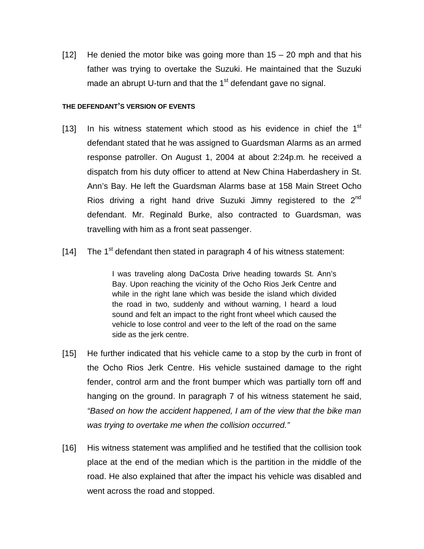$[12]$  He denied the motor bike was going more than 15 – 20 mph and that his father was trying to overtake the Suzuki. He maintained that the Suzuki made an abrupt U-turn and that the  $1<sup>st</sup>$  defendant gave no signal.

#### **THE DEFENDANT'S VERSION OF EVENTS**

- [13] In his witness statement which stood as his evidence in chief the  $1<sup>st</sup>$ defendant stated that he was assigned to Guardsman Alarms as an armed response patroller. On August 1, 2004 at about 2:24p.m. he received a dispatch from his duty officer to attend at New China Haberdashery in St. Ann's Bay. He left the Guardsman Alarms base at 158 Main Street Ocho Rios driving a right hand drive Suzuki Jimny registered to the  $2^{nd}$ defendant. Mr. Reginald Burke, also contracted to Guardsman, was travelling with him as a front seat passenger.
- [14] The 1<sup>st</sup> defendant then stated in paragraph 4 of his witness statement:

I was traveling along DaCosta Drive heading towards St. Ann's Bay. Upon reaching the vicinity of the Ocho Rios Jerk Centre and while in the right lane which was beside the island which divided the road in two, suddenly and without warning, I heard a loud sound and felt an impact to the right front wheel which caused the vehicle to lose control and veer to the left of the road on the same side as the jerk centre.

- [15] He further indicated that his vehicle came to a stop by the curb in front of the Ocho Rios Jerk Centre. His vehicle sustained damage to the right fender, control arm and the front bumper which was partially torn off and hanging on the ground. In paragraph 7 of his witness statement he said, *"Based on how the accident happened, I am of the view that the bike man was trying to overtake me when the collision occurred."*
- [16] His witness statement was amplified and he testified that the collision took place at the end of the median which is the partition in the middle of the road. He also explained that after the impact his vehicle was disabled and went across the road and stopped.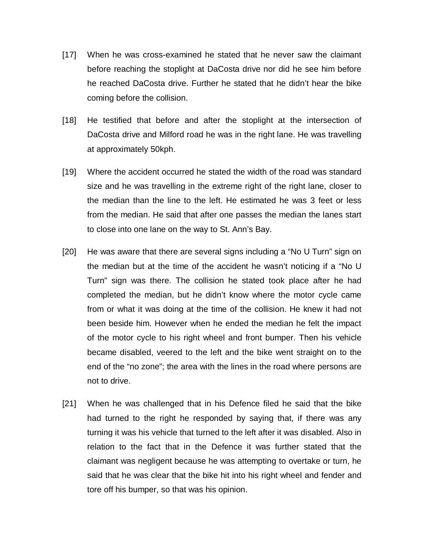- [17] When he was cross-examined he stated that he never saw the claimant before reaching the stoplight at DaCosta drive nor did he see him before he reached DaCosta drive. Further he stated that he didn't hear the bike coming before the collision.
- [18] He testified that before and after the stoplight at the intersection of DaCosta drive and Milford road he was in the right lane. He was travelling at approximately 50kph.
- [19] Where the accident occurred he stated the width of the road was standard size and he was travelling in the extreme right of the right lane, closer to the median than the line to the left. He estimated he was 3 feet or less from the median. He said that after one passes the median the lanes start to close into one lane on the way to St. Ann's Bay.
- [20] He was aware that there are several signs including a "No U Turn" sign on the median but at the time of the accident he wasn't noticing if a "No U Turn" sign was there. The collision he stated took place after he had completed the median, but he didn't know where the motor cycle came from or what it was doing at the time of the collision. He knew it had not been beside him. However when he ended the median he felt the impact of the motor cycle to his right wheel and front bumper. Then his vehicle became disabled, veered to the left and the bike went straight on to the end of the "no zone"; the area with the lines in the road where persons are not to drive.
- [21] When he was challenged that in his Defence filed he said that the bike had turned to the right he responded by saying that, if there was any turning it was his vehicle that turned to the left after it was disabled. Also in relation to the fact that in the Defence it was further stated that the claimant was negligent because he was attempting to overtake or turn, he said that he was clear that the bike hit into his right wheel and fender and tore off his bumper, so that was his opinion.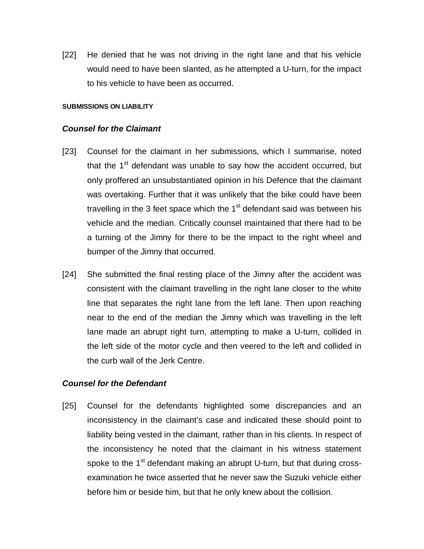[22] He denied that he was not driving in the right lane and that his vehicle would need to have been slanted, as he attempted a U-turn, for the impact to his vehicle to have been as occurred.

#### **SUBMISSIONS ON LIABILITY**

### *Counsel for the Claimant*

- [23] Counsel for the claimant in her submissions, which I summarise, noted that the  $1<sup>st</sup>$  defendant was unable to say how the accident occurred, but only proffered an unsubstantiated opinion in his Defence that the claimant was overtaking. Further that it was unlikely that the bike could have been travelling in the 3 feet space which the  $1<sup>st</sup>$  defendant said was between his vehicle and the median. Critically counsel maintained that there had to be a turning of the Jimny for there to be the impact to the right wheel and bumper of the Jimny that occurred.
- [24] She submitted the final resting place of the Jimny after the accident was consistent with the claimant travelling in the right lane closer to the white line that separates the right lane from the left lane. Then upon reaching near to the end of the median the Jimny which was travelling in the left lane made an abrupt right turn, attempting to make a U-turn, collided in the left side of the motor cycle and then veered to the left and collided in the curb wall of the Jerk Centre.

## *Counsel for the Defendant*

[25] Counsel for the defendants highlighted some discrepancies and an inconsistency in the claimant's case and indicated these should point to liability being vested in the claimant, rather than in his clients. In respect of the inconsistency he noted that the claimant in his witness statement spoke to the  $1<sup>st</sup>$  defendant making an abrupt U-turn, but that during crossexamination he twice asserted that he never saw the Suzuki vehicle either before him or beside him, but that he only knew about the collision.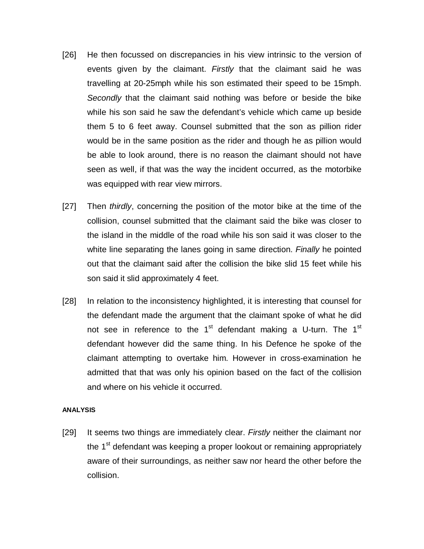- [26] He then focussed on discrepancies in his view intrinsic to the version of events given by the claimant. *Firstly* that the claimant said he was travelling at 20-25mph while his son estimated their speed to be 15mph. *Secondly* that the claimant said nothing was before or beside the bike while his son said he saw the defendant's vehicle which came up beside them 5 to 6 feet away. Counsel submitted that the son as pillion rider would be in the same position as the rider and though he as pillion would be able to look around, there is no reason the claimant should not have seen as well, if that was the way the incident occurred, as the motorbike was equipped with rear view mirrors.
- [27] Then *thirdly*, concerning the position of the motor bike at the time of the collision, counsel submitted that the claimant said the bike was closer to the island in the middle of the road while his son said it was closer to the white line separating the lanes going in same direction. *Finally* he pointed out that the claimant said after the collision the bike slid 15 feet while his son said it slid approximately 4 feet.
- [28] In relation to the inconsistency highlighted, it is interesting that counsel for the defendant made the argument that the claimant spoke of what he did not see in reference to the  $1<sup>st</sup>$  defendant making a U-turn. The  $1<sup>st</sup>$ defendant however did the same thing. In his Defence he spoke of the claimant attempting to overtake him. However in cross-examination he admitted that that was only his opinion based on the fact of the collision and where on his vehicle it occurred.

#### **ANALYSIS**

[29] It seems two things are immediately clear. *Firstly* neither the claimant nor the  $1<sup>st</sup>$  defendant was keeping a proper lookout or remaining appropriately aware of their surroundings, as neither saw nor heard the other before the collision.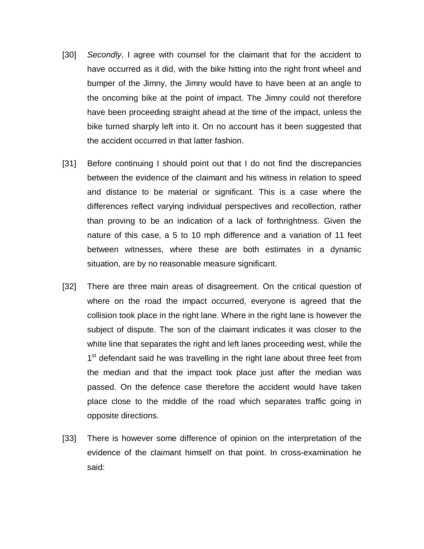- [30] *Secondly*, I agree with counsel for the claimant that for the accident to have occurred as it did, with the bike hitting into the right front wheel and bumper of the Jimny, the Jimny would have to have been at an angle to the oncoming bike at the point of impact. The Jimny could not therefore have been proceeding straight ahead at the time of the impact, unless the bike turned sharply left into it. On no account has it been suggested that the accident occurred in that latter fashion.
- [31] Before continuing I should point out that I do not find the discrepancies between the evidence of the claimant and his witness in relation to speed and distance to be material or significant. This is a case where the differences reflect varying individual perspectives and recollection, rather than proving to be an indication of a lack of forthrightness. Given the nature of this case, a 5 to 10 mph difference and a variation of 11 feet between witnesses, where these are both estimates in a dynamic situation, are by no reasonable measure significant.
- [32] There are three main areas of disagreement. On the critical question of where on the road the impact occurred, everyone is agreed that the collision took place in the right lane. Where in the right lane is however the subject of dispute. The son of the claimant indicates it was closer to the white line that separates the right and left lanes proceeding west, while the 1<sup>st</sup> defendant said he was travelling in the right lane about three feet from the median and that the impact took place just after the median was passed. On the defence case therefore the accident would have taken place close to the middle of the road which separates traffic going in opposite directions.
- [33] There is however some difference of opinion on the interpretation of the evidence of the claimant himself on that point. In cross-examination he said: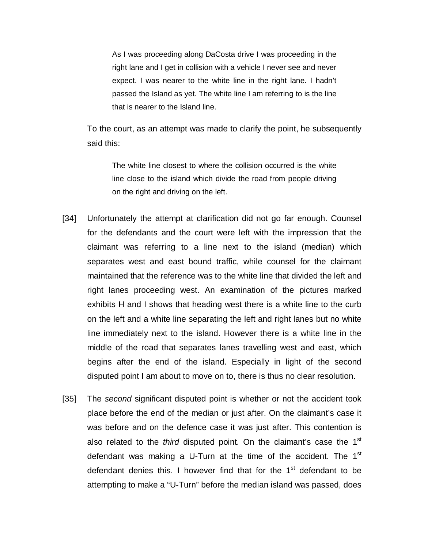As I was proceeding along DaCosta drive I was proceeding in the right lane and I get in collision with a vehicle I never see and never expect. I was nearer to the white line in the right lane. I hadn't passed the Island as yet. The white line I am referring to is the line that is nearer to the Island line.

To the court, as an attempt was made to clarify the point, he subsequently said this:

The white line closest to where the collision occurred is the white line close to the island which divide the road from people driving on the right and driving on the left.

- [34] Unfortunately the attempt at clarification did not go far enough. Counsel for the defendants and the court were left with the impression that the claimant was referring to a line next to the island (median) which separates west and east bound traffic, while counsel for the claimant maintained that the reference was to the white line that divided the left and right lanes proceeding west. An examination of the pictures marked exhibits H and I shows that heading west there is a white line to the curb on the left and a white line separating the left and right lanes but no white line immediately next to the island. However there is a white line in the middle of the road that separates lanes travelling west and east, which begins after the end of the island. Especially in light of the second disputed point I am about to move on to, there is thus no clear resolution.
- [35] The *second* significant disputed point is whether or not the accident took place before the end of the median or just after. On the claimant's case it was before and on the defence case it was just after. This contention is also related to the *third* disputed point. On the claimant's case the 1<sup>st</sup> defendant was making a U-Turn at the time of the accident. The  $1<sup>st</sup>$ defendant denies this. I however find that for the  $1<sup>st</sup>$  defendant to be attempting to make a "U-Turn" before the median island was passed, does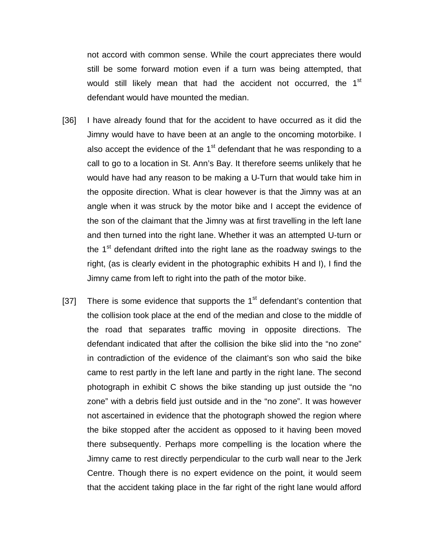not accord with common sense. While the court appreciates there would still be some forward motion even if a turn was being attempted, that would still likely mean that had the accident not occurred, the 1<sup>st</sup> defendant would have mounted the median.

- [36] I have already found that for the accident to have occurred as it did the Jimny would have to have been at an angle to the oncoming motorbike. I also accept the evidence of the  $1<sup>st</sup>$  defendant that he was responding to a call to go to a location in St. Ann's Bay. It therefore seems unlikely that he would have had any reason to be making a U-Turn that would take him in the opposite direction. What is clear however is that the Jimny was at an angle when it was struck by the motor bike and I accept the evidence of the son of the claimant that the Jimny was at first travelling in the left lane and then turned into the right lane. Whether it was an attempted U-turn or the  $1<sup>st</sup>$  defendant drifted into the right lane as the roadway swings to the right, (as is clearly evident in the photographic exhibits H and I), I find the Jimny came from left to right into the path of the motor bike.
- [37] There is some evidence that supports the  $1<sup>st</sup>$  defendant's contention that the collision took place at the end of the median and close to the middle of the road that separates traffic moving in opposite directions. The defendant indicated that after the collision the bike slid into the "no zone" in contradiction of the evidence of the claimant's son who said the bike came to rest partly in the left lane and partly in the right lane. The second photograph in exhibit C shows the bike standing up just outside the "no zone" with a debris field just outside and in the "no zone". It was however not ascertained in evidence that the photograph showed the region where the bike stopped after the accident as opposed to it having been moved there subsequently. Perhaps more compelling is the location where the Jimny came to rest directly perpendicular to the curb wall near to the Jerk Centre. Though there is no expert evidence on the point, it would seem that the accident taking place in the far right of the right lane would afford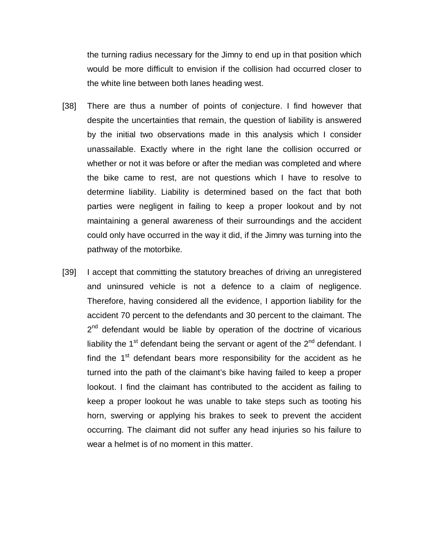the turning radius necessary for the Jimny to end up in that position which would be more difficult to envision if the collision had occurred closer to the white line between both lanes heading west.

- [38] There are thus a number of points of conjecture. I find however that despite the uncertainties that remain, the question of liability is answered by the initial two observations made in this analysis which I consider unassailable. Exactly where in the right lane the collision occurred or whether or not it was before or after the median was completed and where the bike came to rest, are not questions which I have to resolve to determine liability. Liability is determined based on the fact that both parties were negligent in failing to keep a proper lookout and by not maintaining a general awareness of their surroundings and the accident could only have occurred in the way it did, if the Jimny was turning into the pathway of the motorbike.
- [39] I accept that committing the statutory breaches of driving an unregistered and uninsured vehicle is not a defence to a claim of negligence. Therefore, having considered all the evidence, I apportion liability for the accident 70 percent to the defendants and 30 percent to the claimant. The  $2<sup>nd</sup>$  defendant would be liable by operation of the doctrine of vicarious liability the  $1<sup>st</sup>$  defendant being the servant or agent of the  $2<sup>nd</sup>$  defendant. I find the  $1<sup>st</sup>$  defendant bears more responsibility for the accident as he turned into the path of the claimant's bike having failed to keep a proper lookout. I find the claimant has contributed to the accident as failing to keep a proper lookout he was unable to take steps such as tooting his horn, swerving or applying his brakes to seek to prevent the accident occurring. The claimant did not suffer any head injuries so his failure to wear a helmet is of no moment in this matter.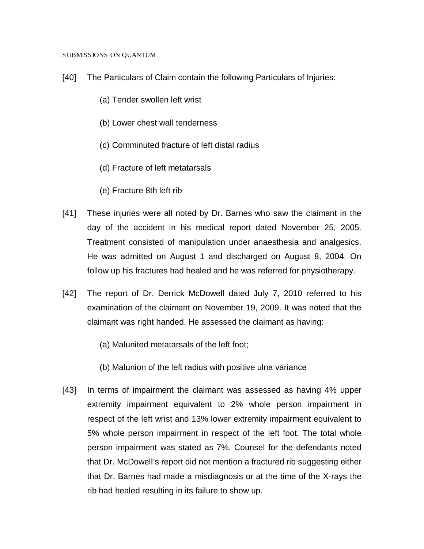#### SUBMISSIONS ON QUANTUM

- [40] The Particulars of Claim contain the following Particulars of Injuries:
	- (a) Tender swollen left wrist
	- (b) Lower chest wall tenderness
	- (c) Comminuted fracture of left distal radius
	- (d) Fracture of left metatarsals
	- (e) Fracture 8th left rib
- [41] These injuries were all noted by Dr. Barnes who saw the claimant in the day of the accident in his medical report dated November 25, 2005. Treatment consisted of manipulation under anaesthesia and analgesics. He was admitted on August 1 and discharged on August 8, 2004. On follow up his fractures had healed and he was referred for physiotherapy.
- [42] The report of Dr. Derrick McDowell dated July 7, 2010 referred to his examination of the claimant on November 19, 2009. It was noted that the claimant was right handed. He assessed the claimant as having:
	- (a) Malunited metatarsals of the left foot;
	- (b) Malunion of the left radius with positive ulna variance
- [43] In terms of impairment the claimant was assessed as having 4% upper extremity impairment equivalent to 2% whole person impairment in respect of the left wrist and 13% lower extremity impairment equivalent to 5% whole person impairment in respect of the left foot. The total whole person impairment was stated as 7%. Counsel for the defendants noted that Dr. McDowell's report did not mention a fractured rib suggesting either that Dr. Barnes had made a misdiagnosis or at the time of the X-rays the rib had healed resulting in its failure to show up.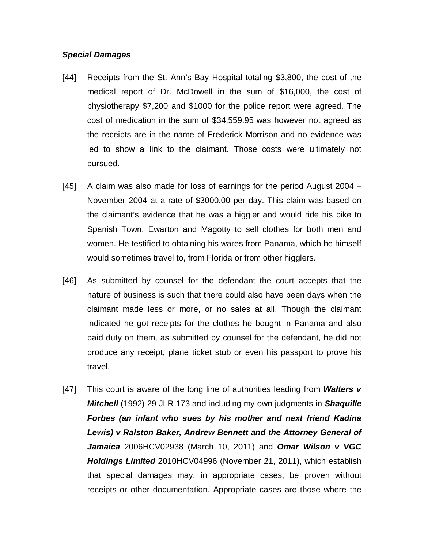### *Special Damages*

- [44] Receipts from the St. Ann's Bay Hospital totaling \$3,800, the cost of the medical report of Dr. McDowell in the sum of \$16,000, the cost of physiotherapy \$7,200 and \$1000 for the police report were agreed. The cost of medication in the sum of \$34,559.95 was however not agreed as the receipts are in the name of Frederick Morrison and no evidence was led to show a link to the claimant. Those costs were ultimately not pursued.
- [45] A claim was also made for loss of earnings for the period August 2004 November 2004 at a rate of \$3000.00 per day. This claim was based on the claimant's evidence that he was a higgler and would ride his bike to Spanish Town, Ewarton and Magotty to sell clothes for both men and women. He testified to obtaining his wares from Panama, which he himself would sometimes travel to, from Florida or from other higglers.
- [46] As submitted by counsel for the defendant the court accepts that the nature of business is such that there could also have been days when the claimant made less or more, or no sales at all. Though the claimant indicated he got receipts for the clothes he bought in Panama and also paid duty on them, as submitted by counsel for the defendant, he did not produce any receipt, plane ticket stub or even his passport to prove his travel.
- [47] This court is aware of the long line of authorities leading from *Walters v Mitchell* (1992) 29 JLR 173 and including my own judgments in *Shaquille Forbes (an infant who sues by his mother and next friend Kadina Lewis) v Ralston Baker, Andrew Bennett and the Attorney General of Jamaica* 2006HCV02938 (March 10, 2011) and *Omar Wilson v VGC Holdings Limited* 2010HCV04996 (November 21, 2011), which establish that special damages may, in appropriate cases, be proven without receipts or other documentation. Appropriate cases are those where the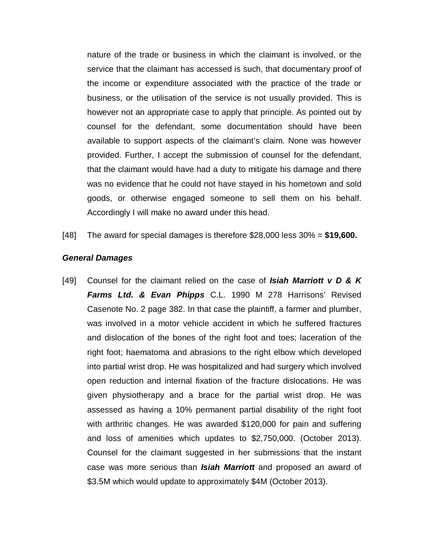nature of the trade or business in which the claimant is involved, or the service that the claimant has accessed is such, that documentary proof of the income or expenditure associated with the practice of the trade or business, or the utilisation of the service is not usually provided. This is however not an appropriate case to apply that principle. As pointed out by counsel for the defendant, some documentation should have been available to support aspects of the claimant's claim. None was however provided. Further, I accept the submission of counsel for the defendant, that the claimant would have had a duty to mitigate his damage and there was no evidence that he could not have stayed in his hometown and sold goods, or otherwise engaged someone to sell them on his behalf. Accordingly I will make no award under this head.

[48] The award for special damages is therefore \$28,000 less 30% = **\$19,600.**

#### *General Damages*

[49] Counsel for the claimant relied on the case of *Isiah Marriott v D & K Farms Ltd. & Evan Phipps* C.L. 1990 M 278 Harrisons' Revised Casenote No. 2 page 382. In that case the plaintiff, a farmer and plumber, was involved in a motor vehicle accident in which he suffered fractures and dislocation of the bones of the right foot and toes; laceration of the right foot; haematoma and abrasions to the right elbow which developed into partial wrist drop. He was hospitalized and had surgery which involved open reduction and internal fixation of the fracture dislocations. He was given physiotherapy and a brace for the partial wrist drop. He was assessed as having a 10% permanent partial disability of the right foot with arthritic changes. He was awarded \$120,000 for pain and suffering and loss of amenities which updates to \$2,750,000. (October 2013). Counsel for the claimant suggested in her submissions that the instant case was more serious than *Isiah Marriott* and proposed an award of \$3.5M which would update to approximately \$4M (October 2013).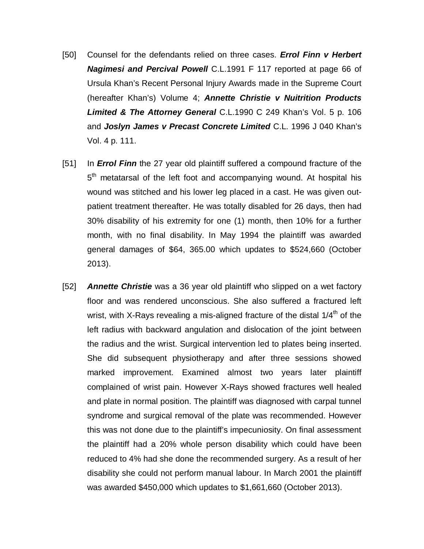- [50] Counsel for the defendants relied on three cases. *Errol Finn v Herbert Nagimesi and Percival Powell* C.L.1991 F 117 reported at page 66 of Ursula Khan's Recent Personal Injury Awards made in the Supreme Court (hereafter Khan's) Volume 4; *Annette Christie v Nuitrition Products Limited & The Attorney General* C.L.1990 C 249 Khan's Vol. 5 p. 106 and *Joslyn James v Precast Concrete Limited* C.L. 1996 J 040 Khan's Vol. 4 p. 111.
- [51] In *Errol Finn* the 27 year old plaintiff suffered a compound fracture of the 5<sup>th</sup> metatarsal of the left foot and accompanying wound. At hospital his wound was stitched and his lower leg placed in a cast. He was given outpatient treatment thereafter. He was totally disabled for 26 days, then had 30% disability of his extremity for one (1) month, then 10% for a further month, with no final disability. In May 1994 the plaintiff was awarded general damages of \$64, 365.00 which updates to \$524,660 (October 2013).
- [52] *Annette Christie* was a 36 year old plaintiff who slipped on a wet factory floor and was rendered unconscious. She also suffered a fractured left wrist, with X-Rays revealing a mis-aligned fracture of the distal  $1/4<sup>th</sup>$  of the left radius with backward angulation and dislocation of the joint between the radius and the wrist. Surgical intervention led to plates being inserted. She did subsequent physiotherapy and after three sessions showed marked improvement. Examined almost two years later plaintiff complained of wrist pain. However X-Rays showed fractures well healed and plate in normal position. The plaintiff was diagnosed with carpal tunnel syndrome and surgical removal of the plate was recommended. However this was not done due to the plaintiff's impecuniosity. On final assessment the plaintiff had a 20% whole person disability which could have been reduced to 4% had she done the recommended surgery. As a result of her disability she could not perform manual labour. In March 2001 the plaintiff was awarded \$450,000 which updates to \$1,661,660 (October 2013).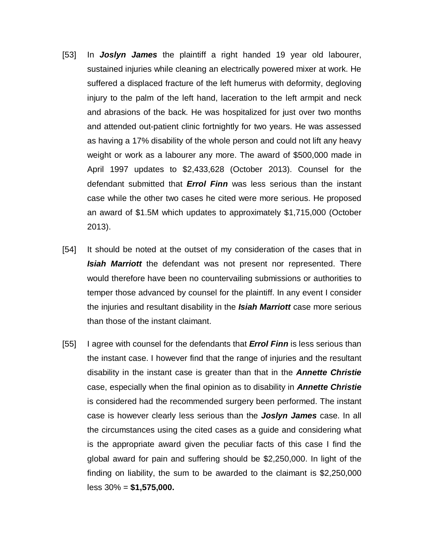- [53] In *Joslyn James* the plaintiff a right handed 19 year old labourer, sustained injuries while cleaning an electrically powered mixer at work. He suffered a displaced fracture of the left humerus with deformity, degloving injury to the palm of the left hand, laceration to the left armpit and neck and abrasions of the back. He was hospitalized for just over two months and attended out-patient clinic fortnightly for two years. He was assessed as having a 17% disability of the whole person and could not lift any heavy weight or work as a labourer any more. The award of \$500,000 made in April 1997 updates to \$2,433,628 (October 2013). Counsel for the defendant submitted that *Errol Finn* was less serious than the instant case while the other two cases he cited were more serious. He proposed an award of \$1.5M which updates to approximately \$1,715,000 (October 2013).
- [54] It should be noted at the outset of my consideration of the cases that in *Isiah Marriott* the defendant was not present nor represented. There would therefore have been no countervailing submissions or authorities to temper those advanced by counsel for the plaintiff. In any event I consider the injuries and resultant disability in the *Isiah Marriott* case more serious than those of the instant claimant.
- [55] I agree with counsel for the defendants that *Errol Finn* is less serious than the instant case. I however find that the range of injuries and the resultant disability in the instant case is greater than that in the *Annette Christie* case, especially when the final opinion as to disability in *Annette Christie* is considered had the recommended surgery been performed. The instant case is however clearly less serious than the *Joslyn James* case. In all the circumstances using the cited cases as a guide and considering what is the appropriate award given the peculiar facts of this case I find the global award for pain and suffering should be \$2,250,000. In light of the finding on liability, the sum to be awarded to the claimant is \$2,250,000 less 30% = **\$1,575,000.**